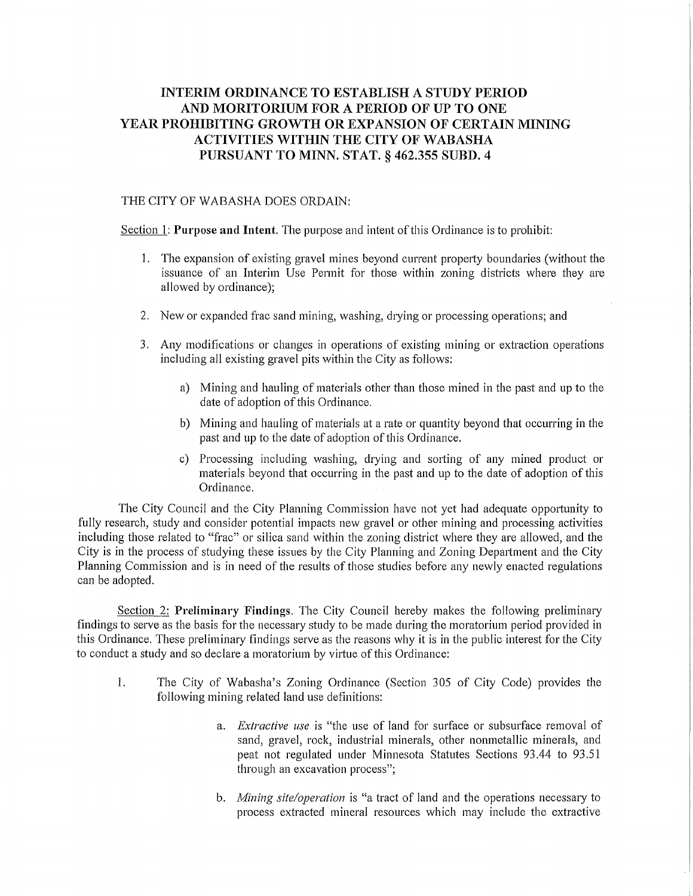## **INTERIM ORDINANCE TO ESTABLISH A STUDY PERIOD AND MORITORIUM FOR A PERIOD OF UP TO ONE YEAR PROHIBITING GROWTH OR EXPANSION OF CERTAIN MINING ACTIVITIES WITHIN THE CITY OF WABASHA PURSUANT TO MINN. STAT. § 462.355 SUBD. 4**

## THE CITY OF WABASHA DOES ORDAIN:

Section 1: **Purpose and Intent.** The purpose and intent of this Ordinance is to prohibit:

- 1. The expansion of existing gravel mines beyond current property boundaries (without the issuance of an Interim Use Permit for those within zoning districts where they are allowed by ordinance);
- 2. New or expanded frac sand mining, washing, drying or processing operations; and
- 3. Any modifications or changes in operations of existing mining or extraction operations including all existing gravel pits within the City as follows:
	- a) Mining and hauling of materials other than those mined in the past and up to the date of adoption of this Ordinance.
	- b) Mining and hauling of materials at a rate or quantity beyond that occurring in the past and up to the date of adoption of this Ordinance.
	- c) Processing including washing, drying and sotiing of any mined product or materials beyond that occurring in the past and up to the date of adoption of this Ordinance.

The City Council and the City Planning Commission have not yet had adequate oppotiunity to fully research, study and consider potential impacts new gravel or other mining and processing activities including those related to "frac" or silica sand within the zoning district where they are allowed, and the City is in the process of studying these issues by the City Planning and Zoning Department and the City Planning Commission and is in need of the results of those studies before any newly enacted regulations can be adopted.

Section 2: Preliminary Findings. The City Council hereby makes the following preliminary findings to serve as the basis for the necessary study to be made during the moratorium period provided in this Ordinance. These preliminary findings serve as the reasons why it is in the public interest for the City to conduct a study and so declare a moratorium by vitiue of this Ordinance:

- 1. The City of Wabasha's Zoning Ordinance (Section 305 of City Code) provides the following mining related land use definitions:
	- a. *Extractive use* is "the use of land for surface or subsurface removal of sand, gravel, rock, industrial minerals, other nonmetallic minerals, and peat not regulated under Minnesota Statutes Sections 93.44 to 93.51 through an excavation process";
	- b. *Mining site/operation* is "a tract of land and the operations necessary to process extracted mineral resources which may include the extractive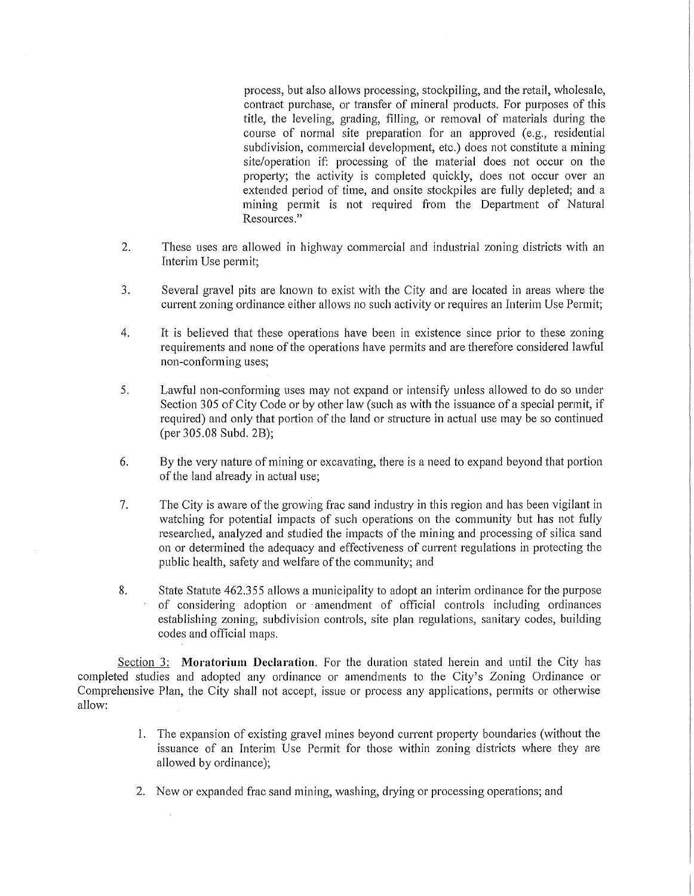process, but also allows processing, stockpiling, and the retail, wholesale, contract purchase, or transfer of mineral products. For purposes of this title, the leveling, grading, filling, or removal of materials during the course of normal site preparation for an approved (e.g., residential subdivision, commercial development, etc.) does not constitute a mining site/operation if: processing of the material does not occur on the property; the activity is completed quickly, does not occur over an extended period of time, and onsite stockpiles are fully depleted; and a mining permit is not required from the Depatiment of Natural Resources."

- 2. These uses are allowed in highway commercial and industrial zoning districts with an Interim Use permit;
- 3. Several gravel pits are known to exist with the City and are located in areas where the current zoning ordinance either allows no such activity or requires an Interim Use Permit;
- 4. It is believed that these operations have been in existence since prior to these zoning requirements and none of the operations have permits and are therefore considered lawful non-conforming uses;
- 5. Lawful non-conforming uses may not expand or intensify unless allowed to do so under Section 305 of City Code or by other law (such as with the issuance of a special permit, if required) and only that portion of the land or structure in actual use may be so continued (per 305.08 Subd. 2B);
- 6. By the very nature of mining or excavating, there is a need to expand beyond that portion of the land already in actual use;
- 7. The City is aware of the growing frac sand industry in this region and has been vigilant in watching for potential impacts of such operations on the community but has not fully researched, analyzed and studied the impacts of the mining and processing of silica sand on or determined the adequacy and effectiveness of current regulations in protecting the public health, safety and welfare of the community; and
- 8. State Statute 462.355 allows a municipality to adopt an interim ordinance for the purpose of considering adoption or ·amendment of official controls including ordinances establishing zoning, subdivision controls, site plan regulations, sanitary codes, building codes and official maps.

Section 3: **Moratorium Declaration.** For the duration stated herein and until the City has completed studies and adopted any ordinance or amendments to the City's Zoning Ordinance or Comprehensive Plan, the City shall not accept, issue or process any applications, permits or otherwise allow:

- 1. The expansion of existing gravel mines beyond current property boundaries (without the issuance of an Interim Use Permit for those within zoning districts where they are allowed by ordinance);
- 2. New or expanded frac sand mining, washing, drying or processing operations; and